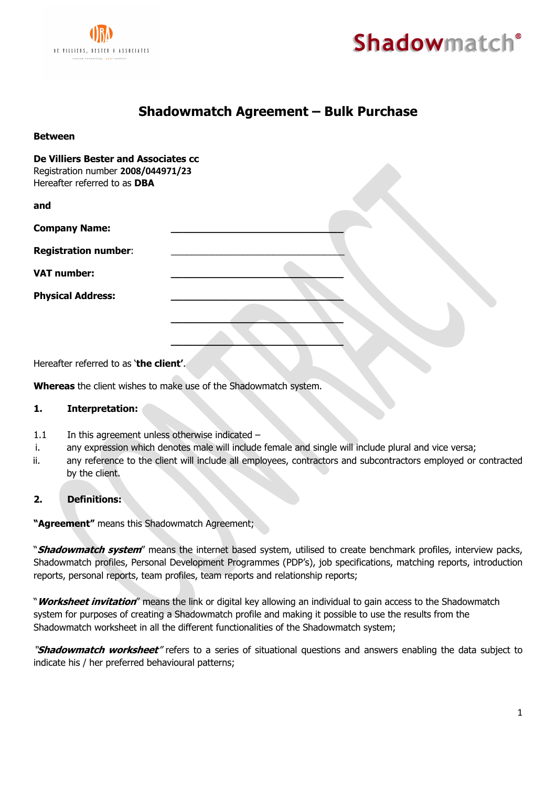

**Between**



# **Shadowmatch Agreement – Bulk Purchase**

| De Villiers Bester and Associates cc<br>Registration number 2008/044971/23<br>Hereafter referred to as DBA |  |
|------------------------------------------------------------------------------------------------------------|--|
| and                                                                                                        |  |
| <b>Company Name:</b>                                                                                       |  |
| <b>Registration number:</b>                                                                                |  |
| <b>VAT number:</b>                                                                                         |  |
| <b>Physical Address:</b>                                                                                   |  |
|                                                                                                            |  |
|                                                                                                            |  |

Hereafter referred to as '**the client'**.

**Whereas** the client wishes to make use of the Shadowmatch system.

#### **1. Interpretation:**

- 1.1 In this agreement unless otherwise indicated -
- i. any expression which denotes male will include female and single will include plural and vice versa;
- ii. any reference to the client will include all employees, contractors and subcontractors employed or contracted by the client.

### **2. Definitions:**

**"Agreement"** means this Shadowmatch Agreement;

"**Shadowmatch system**" means the internet based system, utilised to create benchmark profiles, interview packs, Shadowmatch profiles, Personal Development Programmes (PDP's), job specifications, matching reports, introduction reports, personal reports, team profiles, team reports and relationship reports;

"**Worksheet invitation**" means the link or digital key allowing an individual to gain access to the Shadowmatch system for purposes of creating a Shadowmatch profile and making it possible to use the results from the Shadowmatch worksheet in all the different functionalities of the Shadowmatch system;

"**Shadowmatch worksheet**" refers to a series of situational questions and answers enabling the data subject to indicate his / her preferred behavioural patterns;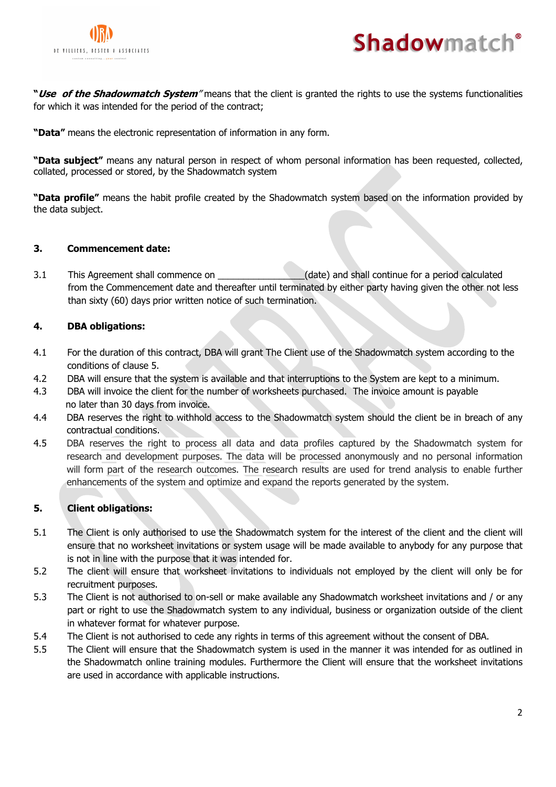



**"Use of the Shadowmatch System**" means that the client is granted the rights to use the systems functionalities for which it was intended for the period of the contract;

**"Data"** means the electronic representation of information in any form.

**"Data subject"** means any natural person in respect of whom personal information has been requested, collected, collated, processed or stored, by the Shadowmatch system

**"Data profile"** means the habit profile created by the Shadowmatch system based on the information provided by the data subject.

# **3. Commencement date:**

3.1 This Agreement shall commence on  $\qquad \qquad$  (date) and shall continue for a period calculated from the Commencement date and thereafter until terminated by either party having given the other not less than sixty (60) days prior written notice of such termination.

# **4. DBA obligations:**

- 4.1 For the duration of this contract, DBA will grant The Client use of the Shadowmatch system according to the conditions of clause 5.
- 4.2 DBA will ensure that the system is available and that interruptions to the System are kept to a minimum.
- 4.3 DBA will invoice the client for the number of worksheets purchased. The invoice amount is payable no later than 30 days from invoice.
- 4.4 DBA reserves the right to withhold access to the Shadowmatch system should the client be in breach of any contractual conditions.
- 4.5 DBA reserves the right to process all data and data profiles captured by the Shadowmatch system for research and development purposes. The data will be processed anonymously and no personal information will form part of the research outcomes. The research results are used for trend analysis to enable further enhancements of the system and optimize and expand the reports generated by the system.

### **5. Client obligations:**

- 5.1 The Client is only authorised to use the Shadowmatch system for the interest of the client and the client will ensure that no worksheet invitations or system usage will be made available to anybody for any purpose that is not in line with the purpose that it was intended for.
- 5.2 The client will ensure that worksheet invitations to individuals not employed by the client will only be for recruitment purposes.
- 5.3 The Client is not authorised to on-sell or make available any Shadowmatch worksheet invitations and / or any part or right to use the Shadowmatch system to any individual, business or organization outside of the client in whatever format for whatever purpose.
- 5.4 The Client is not authorised to cede any rights in terms of this agreement without the consent of DBA.
- 5.5 The Client will ensure that the Shadowmatch system is used in the manner it was intended for as outlined in the Shadowmatch online training modules. Furthermore the Client will ensure that the worksheet invitations are used in accordance with applicable instructions.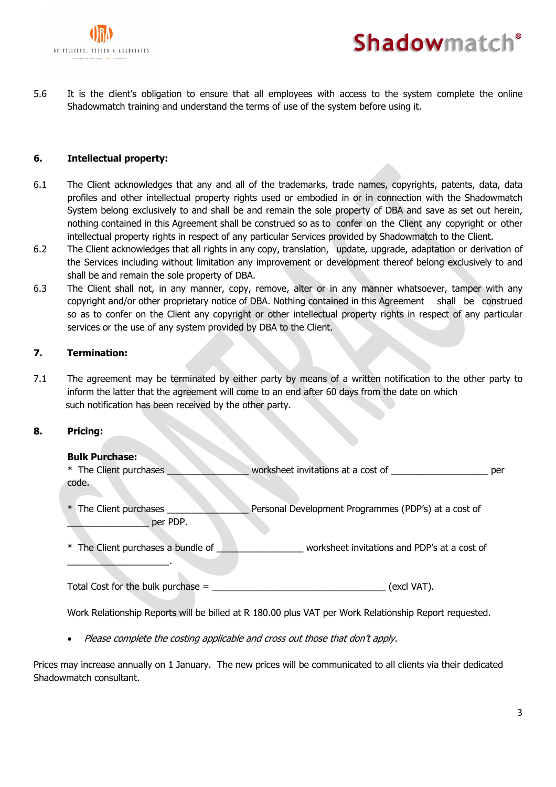



5.6 It is the client's obligation to ensure that all employees with access to the system complete the online Shadowmatch training and understand the terms of use of the system before using it.

# **6. Intellectual property:**

- 6.1 The Client acknowledges that any and all of the trademarks, trade names, copyrights, patents, data, data profiles and other intellectual property rights used or embodied in or in connection with the Shadowmatch System belong exclusively to and shall be and remain the sole property of DBA and save as set out herein, nothing contained in this Agreement shall be construed so as to confer on the Client any copyright or other intellectual property rights in respect of any particular Services provided by Shadowmatch to the Client.
- 6.2 The Client acknowledges that all rights in any copy, translation, update, upgrade, adaptation or derivation of the Services including without limitation any improvement or development thereof belong exclusively to and shall be and remain the sole property of DBA.
- 6.3 The Client shall not, in any manner, copy, remove, alter or in any manner whatsoever, tamper with any copyright and/or other proprietary notice of DBA. Nothing contained in this Agreement shall be construed so as to confer on the Client any copyright or other intellectual property rights in respect of any particular services or the use of any system provided by DBA to the Client.

# **7. Termination:**

7.1 The agreement may be terminated by either party by means of a written notification to the other party to inform the latter that the agreement will come to an end after 60 days from the date on which such notification has been received by the other party.

### **8. Pricing:**

### **Bulk Purchase:**

 $\overline{\phantom{a}}$  , where  $\overline{\phantom{a}}$ 

\* The Client purchases \_\_\_\_\_\_\_\_\_\_\_\_\_\_\_\_ worksheet invitations at a cost of \_\_\_\_\_\_\_\_\_\_\_\_\_\_\_\_\_\_\_ per code.

\* The Client purchases \_\_\_\_\_\_\_\_\_\_\_\_\_\_\_\_ Personal Development Programmes (PDP's) at a cost of per PDP.

\* The Client purchases a bundle of \_\_\_\_\_\_\_\_\_\_\_\_\_\_\_\_\_ worksheet invitations and PDP's at a cost of

Total Cost for the bulk purchase = \_\_\_\_\_\_\_\_\_\_\_\_\_\_\_\_\_\_\_\_\_\_\_\_\_\_\_\_\_\_\_\_\_\_ (excl VAT).

Work Relationship Reports will be billed at R 180.00 plus VAT per Work Relationship Report requested.

• Please complete the costing applicable and cross out those that don't apply.

Prices may increase annually on 1 January. The new prices will be communicated to all clients via their dedicated Shadowmatch consultant.